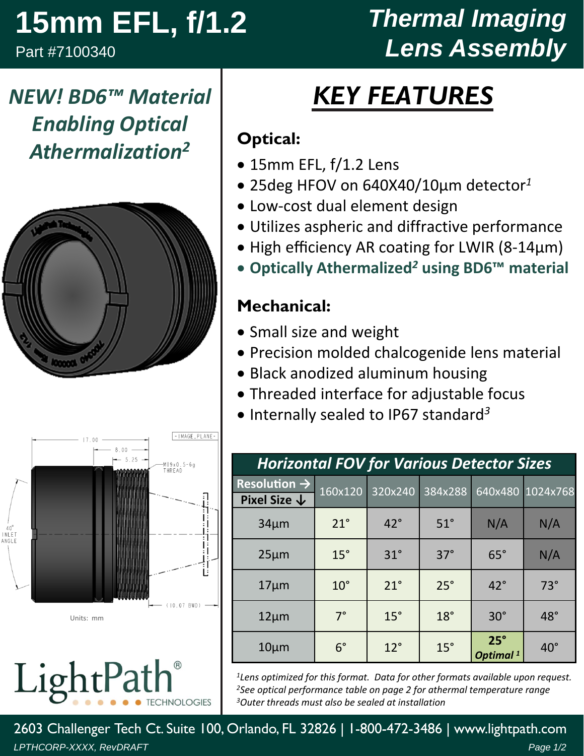## **15mm EFL, f/1.2**

Part #7100340

## *Thermal Imaging Lens Assembly*

# *KEY FEATURES*

#### **Optical:**

- 15mm EFL, f/1.2 Lens
- 25deg HFOV on 640X40/10µm detector*<sup>1</sup>*
- Low‐cost dual element design
- Utilizes aspheric and diffractive performance
- High efficiency AR coating for LWIR (8-14µm)
- **Optically Athermalized***<sup>2</sup>* **using BD6™ material**

#### **Mechanical:**

- Small size and weight
- Precision molded chalcogenide lens material
- Black anodized aluminum housing
- Threaded interface for adjustable focus
- Internally sealed to IP67 standard<sup>3</sup>

| <b>Horizontal FOV for Various Detector Sizes</b>    |              |              |            |                                    |                  |  |  |  |
|-----------------------------------------------------|--------------|--------------|------------|------------------------------------|------------------|--|--|--|
| Resolution $\rightarrow$<br>Pixel Size $\downarrow$ | 160x120      | 320x240      | 384x288    |                                    | 640x480 1024x768 |  |  |  |
| $34\mu m$                                           | $21^{\circ}$ | $42^{\circ}$ | $51^\circ$ | N/A                                | N/A              |  |  |  |
| $25 \mu m$                                          | $15^\circ$   | $31^\circ$   | $37^\circ$ | $65^\circ$                         | N/A              |  |  |  |
| $17 \mu m$                                          | $10^{\circ}$ | $21^{\circ}$ | $25^\circ$ | $42^{\circ}$                       | $73^\circ$       |  |  |  |
| $12 \mu m$                                          | $7^\circ$    | $15^\circ$   | $18^\circ$ | $30^\circ$                         | $48^\circ$       |  |  |  |
| $10 \mu m$                                          | $6^{\circ}$  | $12^{\circ}$ | $15^\circ$ | $25^\circ$<br>Optimal <sup>1</sup> | $40^{\circ}$     |  |  |  |

*1Lens optimized for this format. Data for other formats available upon request. 2See optical performance table on page 2 for athermal temperature range 3Outer threads must also be sealed at installation*

*NEW! BD6™ Material Enabling Optical Athermalization2*





Units: mm

LightPa **CHNOLOGIES** 

2603 Challenger Tech Ct. Suite 100, Orlando, FL 32826 | 1-800-472-3486 | www.lightpath.com *LPTHCORP-XXXX, RevDRAFT Page 1/2*